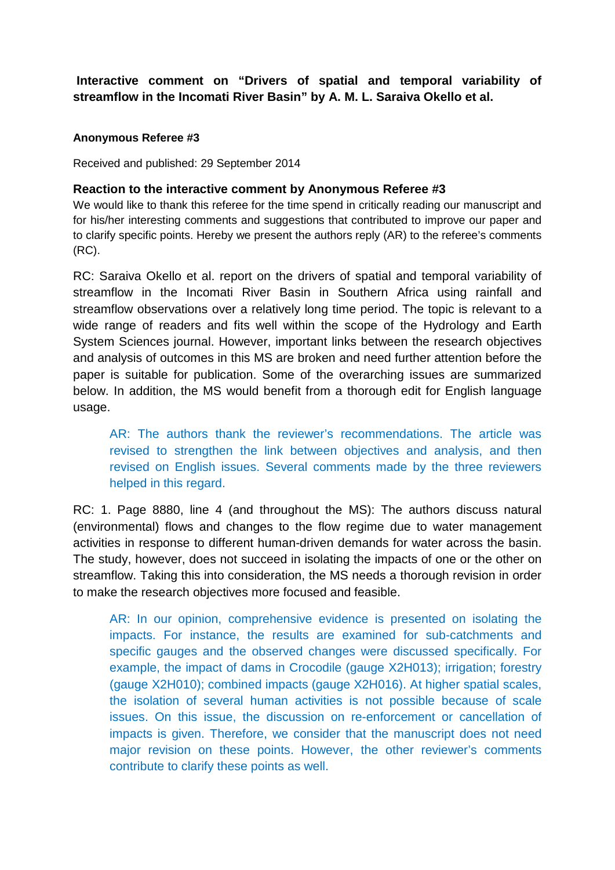# **Interactive comment on "Drivers of spatial and temporal variability of streamflow in the Incomati River Basin" by A. M. L. Saraiva Okello et al.**

#### **Anonymous Referee #3**

Received and published: 29 September 2014

### **Reaction to the interactive comment by Anonymous Referee #3**

We would like to thank this referee for the time spend in critically reading our manuscript and for his/her interesting comments and suggestions that contributed to improve our paper and to clarify specific points. Hereby we present the authors reply (AR) to the referee's comments (RC).

RC: Saraiva Okello et al. report on the drivers of spatial and temporal variability of streamflow in the Incomati River Basin in Southern Africa using rainfall and streamflow observations over a relatively long time period. The topic is relevant to a wide range of readers and fits well within the scope of the Hydrology and Earth System Sciences journal. However, important links between the research objectives and analysis of outcomes in this MS are broken and need further attention before the paper is suitable for publication. Some of the overarching issues are summarized below. In addition, the MS would benefit from a thorough edit for English language usage.

AR: The authors thank the reviewer's recommendations. The article was revised to strengthen the link between objectives and analysis, and then revised on English issues. Several comments made by the three reviewers helped in this regard.

RC: 1. Page 8880, line 4 (and throughout the MS): The authors discuss natural (environmental) flows and changes to the flow regime due to water management activities in response to different human-driven demands for water across the basin. The study, however, does not succeed in isolating the impacts of one or the other on streamflow. Taking this into consideration, the MS needs a thorough revision in order to make the research objectives more focused and feasible.

AR: In our opinion, comprehensive evidence is presented on isolating the impacts. For instance, the results are examined for sub-catchments and specific gauges and the observed changes were discussed specifically. For example, the impact of dams in Crocodile (gauge X2H013); irrigation; forestry (gauge X2H010); combined impacts (gauge X2H016). At higher spatial scales, the isolation of several human activities is not possible because of scale issues. On this issue, the discussion on re-enforcement or cancellation of impacts is given. Therefore, we consider that the manuscript does not need major revision on these points. However, the other reviewer's comments contribute to clarify these points as well.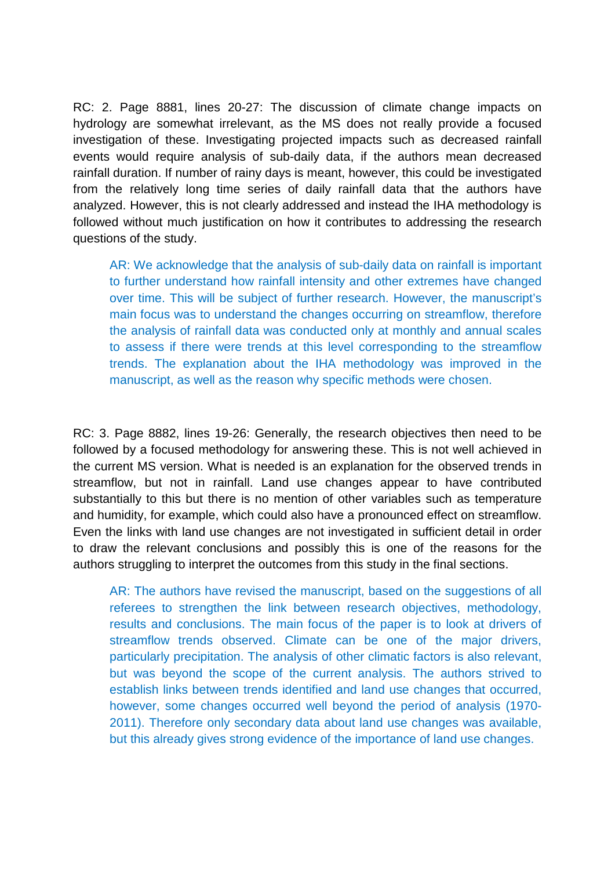RC: 2. Page 8881, lines 20-27: The discussion of climate change impacts on hydrology are somewhat irrelevant, as the MS does not really provide a focused investigation of these. Investigating projected impacts such as decreased rainfall events would require analysis of sub-daily data, if the authors mean decreased rainfall duration. If number of rainy days is meant, however, this could be investigated from the relatively long time series of daily rainfall data that the authors have analyzed. However, this is not clearly addressed and instead the IHA methodology is followed without much justification on how it contributes to addressing the research questions of the study.

AR: We acknowledge that the analysis of sub-daily data on rainfall is important to further understand how rainfall intensity and other extremes have changed over time. This will be subject of further research. However, the manuscript's main focus was to understand the changes occurring on streamflow, therefore the analysis of rainfall data was conducted only at monthly and annual scales to assess if there were trends at this level corresponding to the streamflow trends. The explanation about the IHA methodology was improved in the manuscript, as well as the reason why specific methods were chosen.

RC: 3. Page 8882, lines 19-26: Generally, the research objectives then need to be followed by a focused methodology for answering these. This is not well achieved in the current MS version. What is needed is an explanation for the observed trends in streamflow, but not in rainfall. Land use changes appear to have contributed substantially to this but there is no mention of other variables such as temperature and humidity, for example, which could also have a pronounced effect on streamflow. Even the links with land use changes are not investigated in sufficient detail in order to draw the relevant conclusions and possibly this is one of the reasons for the authors struggling to interpret the outcomes from this study in the final sections.

AR: The authors have revised the manuscript, based on the suggestions of all referees to strengthen the link between research objectives, methodology, results and conclusions. The main focus of the paper is to look at drivers of streamflow trends observed. Climate can be one of the major drivers, particularly precipitation. The analysis of other climatic factors is also relevant, but was beyond the scope of the current analysis. The authors strived to establish links between trends identified and land use changes that occurred, however, some changes occurred well beyond the period of analysis (1970- 2011). Therefore only secondary data about land use changes was available, but this already gives strong evidence of the importance of land use changes.